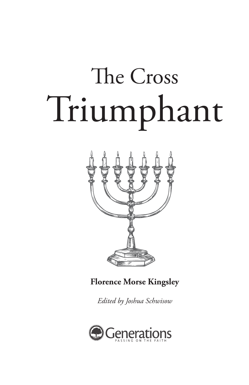

**Florence Morse Kingsley**

*Edited by Joshua Schwisow*

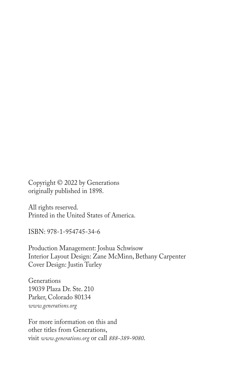Copyright © 2022 by Generations originally published in 1898.

All rights reserved. Printed in the United States of America.

ISBN: 978-1-954745-34-6

Production Management: Joshua Schwisow Interior Layout Design: Zane McMinn, Bethany Carpenter Cover Design: Justin Turley

**Generations** 19039 Plaza Dr. Ste. 210 Parker, Colorado 80134 *www.generations.org*

For more information on this and other titles from Generations, visit *www.generations.org* or call *888-389-9080*.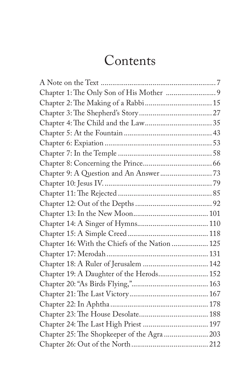## Contents

| Chapter 16: With the Chiefs of the Nation  125 |  |
|------------------------------------------------|--|
|                                                |  |
| Chapter 18: A Ruler of Jerusalem  142          |  |
| Chapter 19: A Daughter of the Herods 152       |  |
|                                                |  |
|                                                |  |
|                                                |  |
|                                                |  |
| Chapter 24: The Last High Priest  197          |  |
| Chapter 25: The Shopkeeper of the Agra  203    |  |
|                                                |  |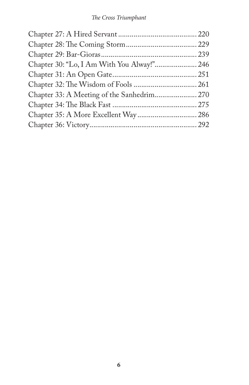| Chapter 33: A Meeting of the Sanhedrim 270 |  |
|--------------------------------------------|--|
|                                            |  |
| Chapter 35: A More Excellent Way  286      |  |
|                                            |  |
|                                            |  |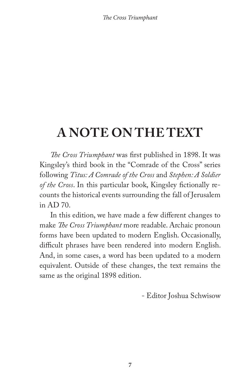### **A NOTE ON THE TEXT**

*The Cross Triumphant* was first published in 1898. It was Kingsley's third book in the "Comrade of the Cross" series following *Titus: A Comrade of the Cross* and *Stephen: A Soldier of the Cross*. In this particular book, Kingsley fictionally recounts the historical events surrounding the fall of Jerusalem in AD 70.

In this edition, we have made a few different changes to make *The Cross Triumphant* more readable. Archaic pronoun forms have been updated to modern English. Occasionally, difficult phrases have been rendered into modern English. And, in some cases, a word has been updated to a modern equivalent. Outside of these changes, the text remains the same as the original 1898 edition.

- Editor Joshua Schwisow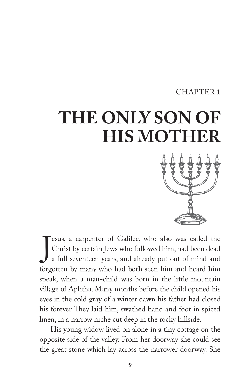#### CHAPTER 1

# **THE ONLY SON OF HIS MOTHER**



J esus, a carpenter of Galilee, who also was called the Christ by certain Jews who followed him, had been dead a full seventeen years, and already put out of mind and forgotten by many who had both seen him and heard him speak, when a man-child was born in the little mountain village of Aphtha. Many months before the child opened his eyes in the cold gray of a winter dawn his father had closed his forever. They laid him, swathed hand and foot in spiced linen, in a narrow niche cut deep in the rocky hillside.

His young widow lived on alone in a tiny cottage on the opposite side of the valley. From her doorway she could see the great stone which lay across the narrower doorway. She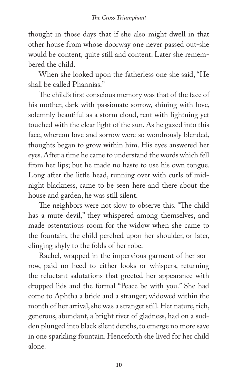thought in those days that if she also might dwell in that other house from whose doorway one never passed out-she would be content, quite still and content. Later she remembered the child.

When she looked upon the fatherless one she said, "He shall be called Phannias."

The child's first conscious memory was that of the face of his mother, dark with passionate sorrow, shining with love, solemnly beautiful as a storm cloud, rent with lightning yet touched with the clear light of the sun. As he gazed into this face, whereon love and sorrow were so wondrously blended, thoughts began to grow within him. His eyes answered her eyes. After a time he came to understand the words which fell from her lips; but he made no haste to use his own tongue. Long after the little head, running over with curls of midnight blackness, came to be seen here and there about the house and garden, he was still silent.

The neighbors were not slow to observe this. "The child has a mute devil," they whispered among themselves, and made ostentatious room for the widow when she came to the fountain, the child perched upon her shoulder, or later, clinging shyly to the folds of her robe.

Rachel, wrapped in the impervious garment of her sorrow, paid no heed to either looks or whispers, returning the reluctant salutations that greeted her appearance with dropped lids and the formal "Peace be with you." She had come to Aphtha a bride and a stranger; widowed within the month of her arrival, she was a stranger still. Her nature, rich, generous, abundant, a bright river of gladness, had on a sudden plunged into black silent depths, to emerge no more save in one sparkling fountain. Henceforth she lived for her child alone.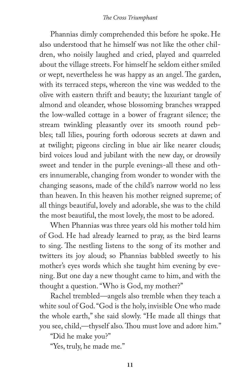Phannias dimly comprehended this before he spoke. He also understood that he himself was not like the other children, who noisily laughed and cried, played and quarreled about the village streets. For himself he seldom either smiled or wept, nevertheless he was happy as an angel. The garden, with its terraced steps, whereon the vine was wedded to the olive with eastern thrift and beauty; the luxuriant tangle of almond and oleander, whose blossoming branches wrapped the low-walled cottage in a bower of fragrant silence; the stream twinkling pleasantly over its smooth round pebbles; tall lilies, pouring forth odorous secrets at dawn and at twilight; pigeons circling in blue air like nearer clouds; bird voices loud and jubilant with the new day, or drowsily sweet and tender in the purple evenings-all these and others innumerable, changing from wonder to wonder with the changing seasons, made of the child's narrow world no less than heaven. In this heaven his mother reigned supreme; of all things beautiful, lovely and adorable, she was to the child the most beautiful, the most lovely, the most to be adored.

When Phannias was three years old his mother told him of God. He had already learned to pray, as the bird learns to sing. The nestling listens to the song of its mother and twitters its joy aloud; so Phannias babbled sweetly to his mother's eyes words which she taught him evening by evening. But one day a new thought came to him, and with the thought a question. "Who is God, my mother?"

Rachel trembled—angels also tremble when they teach a white soul of God. "God is the holy, invisible One who made the whole earth," she said slowly. "He made all things that you see, child,—thyself also. Thou must love and adore him."

"Did he make you?"

"Yes, truly, he made me."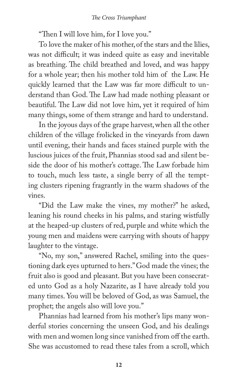"Then I will love him, for I love you."

To love the maker of his mother, of the stars and the lilies, was not difficult; it was indeed quite as easy and inevitable as breathing. The child breathed and loved, and was happy for a whole year; then his mother told him of the Law. He quickly learned that the Law was far more difficult to understand than God. The Law had made nothing pleasant or beautiful. The Law did not love him, yet it required of him many things, some of them strange and hard to understand.

In the joyous days of the grape harvest, when all the other children of the village frolicked in the vineyards from dawn until evening, their hands and faces stained purple with the luscious juices of the fruit, Phannias stood sad and silent beside the door of his mother's cottage. The Law forbade him to touch, much less taste, a single berry of all the tempting clusters ripening fragrantly in the warm shadows of the vines.

"Did the Law make the vines, my mother?" he asked, leaning his round cheeks in his palms, and staring wistfully at the heaped-up clusters of red, purple and white which the young men and maidens were carrying with shouts of happy laughter to the vintage.

"No, my son," answered Rachel, smiling into the questioning dark eyes upturned to hers." God made the vines; the fruit also is good and pleasant. But you have been consecrated unto God as a holy Nazarite, as I have already told you many times. You will be beloved of God, as was Samuel, the prophet; the angels also will love you."

Phannias had learned from his mother's lips many wonderful stories concerning the unseen God, and his dealings with men and women long since vanished from off the earth. She was accustomed to read these tales from a scroll, which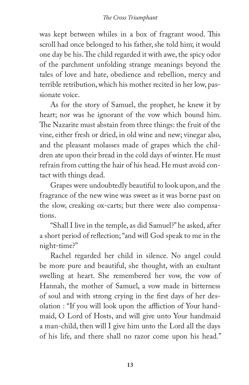was kept between whiles in a box of fragrant wood. This scroll had once belonged to his father, she told him; it would one day be his. The child regarded it with awe, the spicy odor of the parchment unfolding strange meanings beyond the tales of love and hate, obedience and rebellion, mercy and terrible retribution, which his mother recited in her low, passionate voice.

As for the story of Samuel, the prophet, he knew it by heart; nor was he ignorant of the vow which bound him. The Nazarite must abstain from three things: the fruit of the vine, either fresh or dried, in old wine and new; vinegar also, and the pleasant molasses made of grapes which the children ate upon their bread in the cold days of winter. He must refrain from cutting the hair of his head. He must avoid contact with things dead.

Grapes were undoubtedly beautiful to look upon, and the fragrance of the new wine was sweet as it was borne past on the slow, creaking ox-carts; but there were also compensations.

"Shall I live in the temple, as did Samuel?" he asked, after a short period of reflection; "and will God speak to me in the night-time?"

Rachel regarded her child in silence. No angel could be more pure and beautiful, she thought, with an exultant swelling at heart. She remembered her vow, the vow of Hannah, the mother of Samuel, a vow made in bitterness of soul and with strong crying in the first days of her desolation : "If you will look upon the affliction of Your handmaid, O Lord of Hosts, and will give unto Your handmaid a man-child, then will I give him unto the Lord all the days of his life, and there shall no razor come upon his head."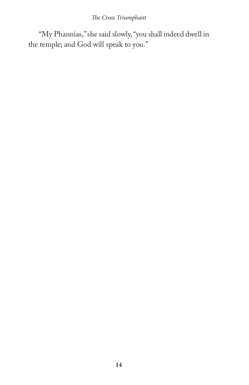"My Phannias," she said slowly, "you shall indeed dwell in the temple; and God will speak to you."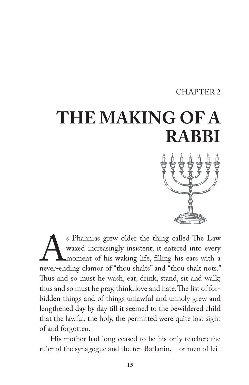#### CHAPTER 2

# **THE MAKING OF A RABBI**

S Phannias grew older the thing called The Law waxed increasingly insistent; it entered into every moment of his waking life, filling his ears with a never-ending clamor of "thou shalts" and "thou shalt nots." waxed increasingly insistent; it entered into every moment of his waking life, filling his ears with a Thus and so must he wash, eat, drink, stand, sit and walk; thus and so must he pray, think, love and hate. The list of forbidden things and of things unlawful and unholy grew and lengthened day by day till it seemed to the bewildered child that the lawful, the holy, the permitted were quite lost sight of and forgotten.

His mother had long ceased to be his only teacher; the ruler of the synagogue and the ten Batlanin,—or men of lei-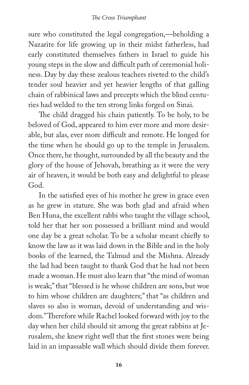sure who constituted the legal congregation,—beholding a Nazarite for life growing up in their midst fatherless, had early constituted themselves fathers in Israel to guide his young steps in the slow and difficult path of ceremonial holiness. Day by day these zealous teachers riveted to the child's tender soul heavier and yet heavier lengths of that galling chain of rabbinical laws and precepts which the blind centuries had welded to the ten strong links forged on Sinai.

The child dragged his chain patiently. To be holy, to be beloved of God, appeared to him ever more and more desirable, but alas, ever more difficult and remote. He longed for the time when he should go up to the temple in Jerusalem. Once there, he thought, surrounded by all the beauty and the glory of the house of Jehovah, breathing as it were the very air of heaven, it would be both easy and delightful to please God.

In the satisfied eyes of his mother he grew in grace even as he grew in stature. She was both glad and afraid when Ben Huna, the excellent rabbi who taught the village school, told her that her son possessed a brilliant mind and would one day be a great scholar. To be a scholar meant chiefly to know the law as it was laid down in the Bible and in the holy books of the learned, the Talmud and the Mishna. Already the lad had been taught to thank God that he had not been made a woman. He must also learn that "the mind of woman is weak;" that "blessed is he whose children are sons, but woe to him whose children are daughters;" that "as children and slaves so also is woman, devoid of understanding and wisdom." Therefore while Rachel looked forward with joy to the day when her child should sit among the great rabbins at Jerusalem, she knew right well that the first stones were being laid in an impassable wall which should divide them forever.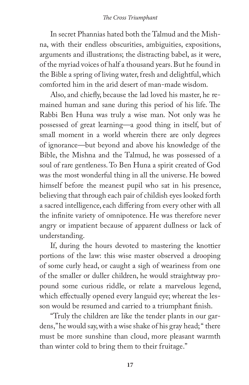In secret Phannias hated both the Talmud and the Mishna, with their endless obscurities, ambiguities, expositions, arguments and illustrations; the distracting babel, as it were, of the myriad voices of half a thousand years. But he found in the Bible a spring of living water, fresh and delightful, which comforted him in the arid desert of man-made wisdom.

Also, and chiefly, because the lad loved his master, he remained human and sane during this period of his life. The Rabbi Ben Huna was truly a wise man. Not only was he possessed of great learning—a good thing in itself, but of small moment in a world wherein there are only degrees of ignorance—but beyond and above his knowledge of the Bible, the Mishna and the Talmud, he was possessed of a soul of rare gentleness. To Ben Huna a spirit created of God was the most wonderful thing in all the universe. He bowed himself before the meanest pupil who sat in his presence, believing that through each pair of childish eyes looked forth a sacred intelligence, each differing from every other with all the infinite variety of omnipotence. He was therefore never angry or impatient because of apparent dullness or lack of understanding.

If, during the hours devoted to mastering the knottier portions of the law: this wise master observed a drooping of some curly head, or caught a sigh of weariness from one of the smaller or duller children, he would straightway propound some curious riddle, or relate a marvelous legend, which effectually opened every languid eye; whereat the lesson would be resumed and carried to a triumphant finish.

"Truly the children are like the tender plants in our gardens," he would say, with a wise shake of his gray head; " there must be more sunshine than cloud, more pleasant warmth than winter cold to bring them to their fruitage."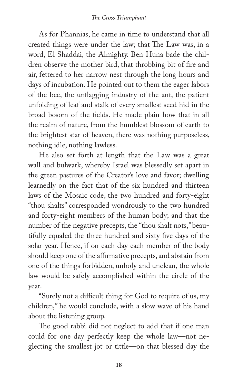As for Phannias, he came in time to understand that all created things were under the law; that The Law was, in a word, El Shaddai, the Almighty. Ben Huna bade the children observe the mother bird, that throbbing bit of fire and air, fettered to her narrow nest through the long hours and days of incubation. He pointed out to them the eager labors of the bee, the unflagging industry of the ant, the patient unfolding of leaf and stalk of every smallest seed hid in the broad bosom of the fields. He made plain how that in all the realm of nature, from the humblest blossom of earth to the brightest star of heaven, there was nothing purposeless, nothing idle, nothing lawless.

He also set forth at length that the Law was a great wall and bulwark, whereby Israel was blessedly set apart in the green pastures of the Creator's love and favor; dwelling learnedly on the fact that of the six hundred and thirteen laws of the Mosaic code, the two hundred and forty-eight "thou shalts" corresponded wondrously to the two hundred and forty-eight members of the human body; and that the number of the negative precepts, the "thou shalt nots," beautifully equaled the three hundred and sixty five days of the solar year. Hence, if on each day each member of the body should keep one of the affirmative precepts, and abstain from one of the things forbidden, unholy and unclean, the whole law would be safely accomplished within the circle of the year.

"Surely not a difficult thing for God to require of us, my children," he would conclude, with a slow wave of his hand about the listening group.

The good rabbi did not neglect to add that if one man could for one day perfectly keep the whole law—not neglecting the smallest jot or tittle—on that blessed day the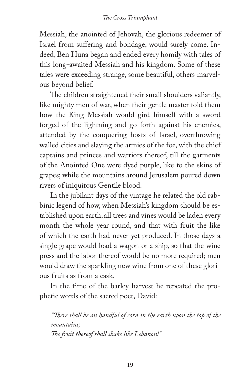Messiah, the anointed of Jehovah, the glorious redeemer of Israel from suffering and bondage, would surely come. Indeed, Ben Huna began and ended every homily with tales of this long-awaited Messiah and his kingdom. Some of these tales were exceeding strange, some beautiful, others marvelous beyond belief.

The children straightened their small shoulders valiantly, like mighty men of war, when their gentle master told them how the King Messiah would gird himself with a sword forged of the lightning and go forth against his enemies, attended by the conquering hosts of Israel, overthrowing walled cities and slaying the armies of the foe, with the chief captains and princes and warriors thereof, till the garments of the Anointed One were dyed purple, like to the skins of grapes; while the mountains around Jerusalem poured down rivers of iniquitous Gentile blood.

In the jubilant days of the vintage he related the old rabbinic legend of how, when Messiah's kingdom should be established upon earth, all trees and vines would be laden every month the whole year round, and that with fruit the like of which the earth had never yet produced. In those days a single grape would load a wagon or a ship, so that the wine press and the labor thereof would be no more required; men would draw the sparkling new wine from one of these glorious fruits as from a cask.

In the time of the barley harvest he repeated the prophetic words of the sacred poet, David:

*"There shall be an handful of corn in the earth upon the top of the mountains; The fruit thereof shall shake like Lebanon!"*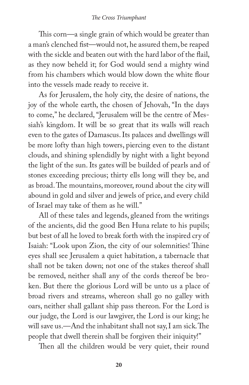This corn—a single grain of which would be greater than a man's clenched fist—would not, he assured them, be reaped with the sickle and beaten out with the hard labor of the flail, as they now beheld it; for God would send a mighty wind from his chambers which would blow down the white flour into the vessels made ready to receive it.

As for Jerusalem, the holy city, the desire of nations, the joy of the whole earth, the chosen of Jehovah, "In the days to come," he declared, "Jerusalem will be the centre of Messiah's kingdom. It will be so great that its walls will reach even to the gates of Damascus. Its palaces and dwellings will be more lofty than high towers, piercing even to the distant clouds, and shining splendidly by night with a light beyond the light of the sun. Its gates will be builded of pearls and of stones exceeding precious; thirty ells long will they be, and as broad. The mountains, moreover, round about the city will abound in gold and silver and jewels of price, and every child of Israel may take of them as he will."

All of these tales and legends, gleaned from the writings of the ancients, did the good Ben Huna relate to his pupils; but best of all he loved to break forth with the inspired cry of Isaiah: "Look upon Zion, the city of our solemnities! Thine eyes shall see Jerusalem a quiet habitation, a tabernacle that shall not be taken down; not one of the stakes thereof shall be removed, neither shall any of the cords thereof be broken. But there the glorious Lord will be unto us a place of broad rivers and streams, whereon shall go no galley with oars, neither shall gallant ship pass thereon. For the Lord is our judge, the Lord is our lawgiver, the Lord is our king; he will save us.—And the inhabitant shall not say, I am sick. The people that dwell therein shall be forgiven their iniquity!"

Then all the children would be very quiet, their round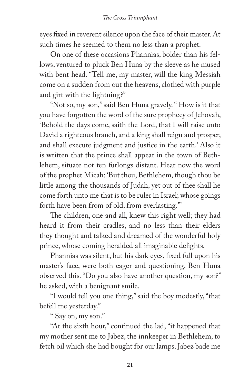eyes fixed in reverent silence upon the face of their master. At such times he seemed to them no less than a prophet.

On one of these occasions Phannias, bolder than his fellows, ventured to pluck Ben Huna by the sleeve as he mused with bent head. "Tell me, my master, will the king Messiah come on a sudden from out the heavens, clothed with purple and girt with the lightning?"

"Not so, my son," said Ben Huna gravely. " How is it that you have forgotten the word of the sure prophecy of Jehovah, 'Behold the days come, saith the Lord, that I will raise unto David a righteous branch, and a king shall reign and prosper, and shall execute judgment and justice in the earth.' Also it is written that the prince shall appear in the town of Bethlehem, situate not ten furlongs distant. Hear now the word of the prophet Micah: 'But thou, Bethlehem, though thou be little among the thousands of Judah, yet out of thee shall he come forth unto me that is to be ruler in Israel; whose goings forth have been from of old, from everlasting.'"

The children, one and all, knew this right well; they had heard it from their cradles, and no less than their elders they thought and talked and dreamed of the wonderful holy prince, whose coming heralded all imaginable delights.

Phannias was silent, but his dark eyes, fixed full upon his master's face, were both eager and questioning. Ben Huna observed this. "Do you also have another question, my son?" he asked, with a benignant smile.

"I would tell you one thing," said the boy modestly, "that befell me yesterday."

" Say on, my son."

"At the sixth hour," continued the lad, "it happened that my mother sent me to Jabez, the innkeeper in Bethlehem, to fetch oil which she had bought for our lamps. Jabez bade me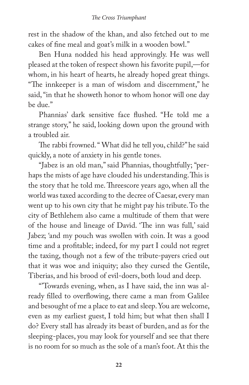rest in the shadow of the khan, and also fetched out to me cakes of fine meal and goat's milk in a wooden bowl."

Ben Huna nodded his head approvingly. He was well pleased at the token of respect shown his favorite pupil,—for whom, in his heart of hearts, he already hoped great things. "The innkeeper is a man of wisdom and discernment," he said, "in that he showeth honor to whom honor will one day be due."

Phannias' dark sensitive face flushed. "He told me a strange story," he said, looking down upon the ground with a troubled air.

The rabbi frowned. " What did he tell you, child?" he said quickly, a note of anxiety in his gentle tones.

"Jabez is an old man," said Phannias, thoughtfully; "perhaps the mists of age have clouded his understanding. This is the story that he told me. Threescore years ago, when all the world was taxed according to the decree of Caesar, every man went up to his own city that he might pay his tribute. To the city of Bethlehem also came a multitude of them that were of the house and lineage of David. 'The inn was full,' said Jabez; 'and my pouch was swollen with coin. It was a good time and a profitable; indeed, for my part I could not regret the taxing, though not a few of the tribute-payers cried out that it was woe and iniquity; also they cursed the Gentile, Tiberias, and his brood of evil-doers, both loud and deep.

"'Towards evening, when, as I have said, the inn was already filled to overflowing, there came a man from Galilee and besought of me a place to eat and sleep. You are welcome, even as my earliest guest, I told him; but what then shall I do? Every stall has already its beast of burden, and as for the sleeping-places, you may look for yourself and see that there is no room for so much as the sole of a man's foot. At this the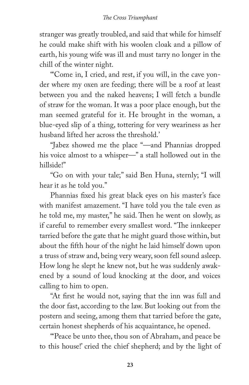stranger was greatly troubled, and said that while for himself he could make shift with his woolen cloak and a pillow of earth, his young wife was ill and must tarry no longer in the chill of the winter night.

"'Come in, I cried, and rest, if you will, in the cave yonder where my oxen are feeding; there will be a roof at least between you and the naked heavens; I will fetch a bundle of straw for the woman. It was a poor place enough, but the man seemed grateful for it. He brought in the woman, a blue-eyed slip of a thing, tottering for very weariness as her husband lifted her across the threshold.'

"Jabez showed me the place "—and Phannias dropped his voice almost to a whisper—" a stall hollowed out in the hillside!"

"Go on with your tale;'' said Ben Huna, sternly; "I will hear it as he told you."

Phannias fixed his great black eyes on his master's face with manifest amazement. "I have told you the tale even as he told me, my master," he said. Then he went on slowly, as if careful to remember every smallest word. "The innkeeper tarried before the gate that he might guard those within, but about the fifth hour of the night he laid himself down upon a truss of straw and, being very weary, soon fell sound asleep. How long he slept he knew not, but he was suddenly awakened by a sound of loud knocking at the door, and voices calling to him to open.

"At first he would not, saying that the inn was full and the door fast, according to the law. But looking out from the postern and seeing, among them that tarried before the gate, certain honest shepherds of his acquaintance, he opened.

"'Peace be unto thee, thou son of Abraham, and peace be to this house!' cried the chief shepherd; and by the light of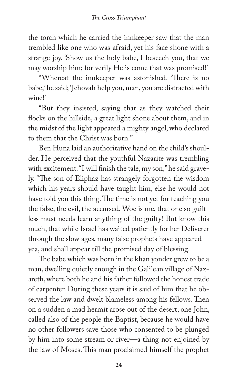the torch which he carried the innkeeper saw that the man trembled like one who was afraid, yet his face shone with a strange joy. 'Show us the holy babe, I beseech you, that we may worship him; for verily He is come that was promised!'

"Whereat the innkeeper was astonished. 'There is no babe,' he said; 'Jehovah help you, man, you are distracted with wine!'

"But they insisted, saying that as they watched their flocks on the hillside, a great light shone about them, and in the midst of the light appeared a mighty angel, who declared to them that the Christ was born."

Ben Huna laid an authoritative hand on the child's shoulder. He perceived that the youthful Nazarite was trembling with excitement. "I will finish the tale, my son," he said gravely. "The son of Eliphaz has strangely forgotten the wisdom which his years should have taught him, else he would not have told you this thing. The time is not yet for teaching you the false, the evil, the accursed. Woe is me, that one so guiltless must needs learn anything of the guilty! But know this much, that while Israel has waited patiently for her Deliverer through the slow ages, many false prophets have appeared yea, and shall appear till the promised day of blessing.

The babe which was born in the khan yonder grew to be a man, dwelling quietly enough in the Galilean village of Nazareth, where both he and his father followed the honest trade of carpenter. During these years it is said of him that he observed the law and dwelt blameless among his fellows. Then on a sudden a mad hermit arose out of the desert, one John, called also of the people the Baptist, because he would have no other followers save those who consented to be plunged by him into some stream or river—a thing not enjoined by the law of Moses. This man proclaimed himself the prophet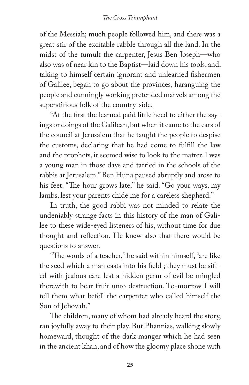of the Messiah; much people followed him, and there was a great stir of the excitable rabble through all the land. In the midst of the tumult the carpenter, Jesus Ben Joseph—who also was of near kin to the Baptist—laid down his tools, and, taking to himself certain ignorant and unlearned fishermen of Galilee, began to go about the provinces, haranguing the people and cunningly working pretended marvels among the superstitious folk of the country-side.

"At the first the learned paid little heed to either the sayings or doings of the Galilean, but when it came to the ears of the council at Jerusalem that he taught the people to despise the customs, declaring that he had come to fulfill the law and the prophets, it seemed wise to look to the matter. I was a young man in those days and tarried in the schools of the rabbis at Jerusalem." Ben Huna paused abruptly and arose to his feet. "The hour grows late," he said. "Go your ways, my lambs, lest your parents chide me for a careless shepherd."

In truth, the good rabbi was not minded to relate the undeniably strange facts in this history of the man of Galilee to these wide-eyed listeners of his, without time for due thought and reflection. He knew also that there would be questions to answer.

"The words of a teacher," he said within himself, "are like the seed which a man casts into his field ; they must be sifted with jealous care lest a hidden germ of evil be mingled therewith to bear fruit unto destruction. To-morrow I will tell them what befell the carpenter who called himself the Son of Jehovah."

The children, many of whom had already heard the story, ran joyfully away to their play. But Phannias, walking slowly homeward, thought of the dark manger which he had seen in the ancient khan, and of how the gloomy place shone with